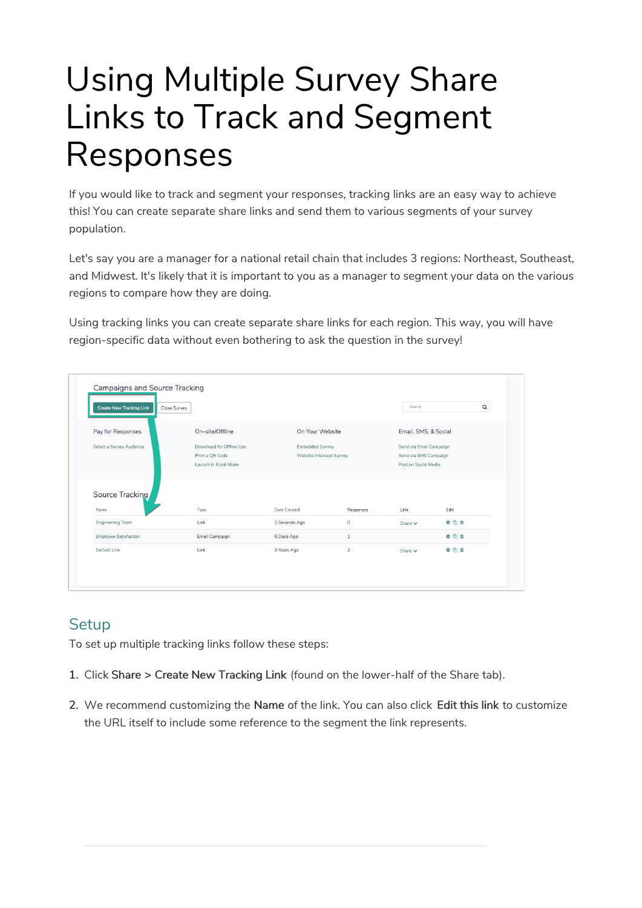# Using Multiple Survey Share Links to Track and Segment Responses

If you would like to track and segment your responses, tracking links are an easy way to achieve this! You can create separate share links and send them to various segments of your survey population.

Let's say you are a manager for a national retail chain that includes 3 regions: Northeast, Southeast, and Midwest. It's likely that it is important to you as a manager to segment your data on the various regions to compare how they are doing.

Using tracking links you can create separate share links for each region. This way, you will have region-specific data without even bothering to ask the question in the survey!

|                              | <b>Close Survey</b>      |                          |              | Search               | $\mathsf Q$             |  |
|------------------------------|--------------------------|--------------------------|--------------|----------------------|-------------------------|--|
| Pay for Responses            | On-site/Offline          | On Your Website          |              | Email, SMS, & Social |                         |  |
| Select a Survey Audience     | Download for Offline Use | <b>Embedded Survey</b>   |              |                      | Send via Email Campaign |  |
|                              | Print a QR Code          | Website Intercept Survey |              |                      | Send via SMS Campaign   |  |
|                              | Launch in Kiosk Mode     |                          |              |                      | Post on Social Media    |  |
| Source Tracking              |                          |                          |              |                      |                         |  |
| Name                         | Type                     | <b>Date Created</b>      | Responses    | Link                 | Edit                    |  |
| <b>Engineering Team</b>      | Link                     | 2 Seconds Ago            | $\circ$      | Share $\vee$         | $0$ $0$ $0$             |  |
|                              |                          | 6 Days Ago               | $\mathbf{1}$ |                      | 000                     |  |
| <b>Employee Satisfaction</b> | Email Campaign           |                          |              |                      |                         |  |

## **Setup**

To set up multiple tracking links follow these steps:

- 1. Click Share > Create New Tracking Link (found on the lower-half of the Share tab).
- 2. We recommend customizing the Name of the link. You can also click Edit this link to customize the URL itself to include some reference to the segment the link represents.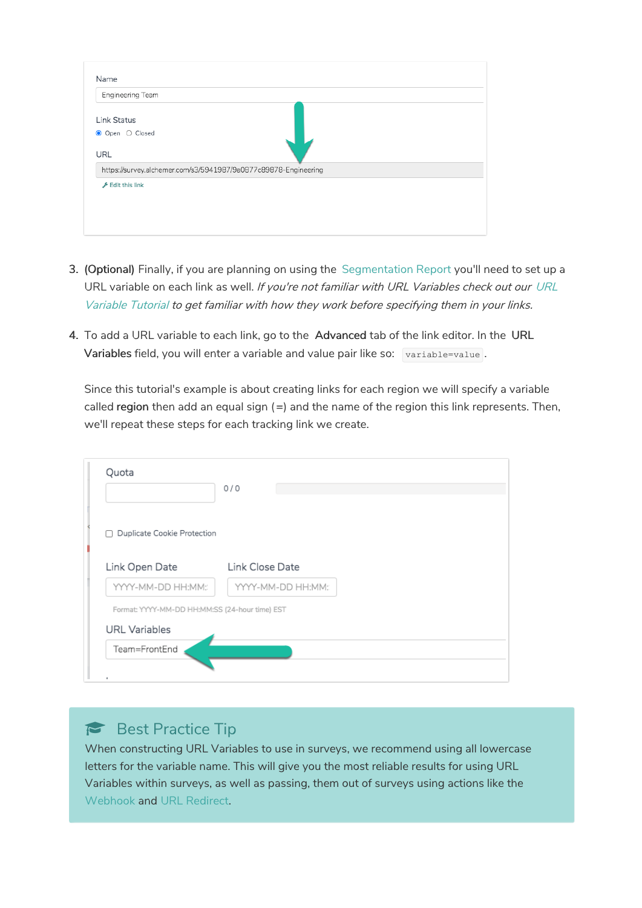| Link Status                                                     |  |  |
|-----------------------------------------------------------------|--|--|
| Open O Closed<br>$\bullet$                                      |  |  |
| URL                                                             |  |  |
| https://survey.alchemer.com/s3/5941987/9a0877c89878-Engineering |  |  |
| $E$ Edit this link                                              |  |  |

- 3. (Optional) Finally, if you are planning on using the Segmentation Report you'll need to set up a URL variable on each link as well. If you're not familiar with URL Variables check out our URL Variable Tutorial to get familiar with how they work before specifying them in your links.
- 4. To add a URL variable to each link, go to the Advanced tab of the link editor. In the URL Variables field, you will enter a variable and value pair like so: variable=value.

Since this tutorial's example is about creating links for each region we will specify a variable called region then add an equal sign  $( = )$  and the name of the region this link represents. Then, we'll repeat these steps for each tracking link we create.

| Quota                                          | 0/0               |
|------------------------------------------------|-------------------|
| □ Duplicate Cookie Protection                  |                   |
| Link Open Date                                 | Link Close Date   |
| YYYY-MM-DD HH:MM:                              | YYYY-MM-DD HH:MM: |
| Format: YYYY-MM-DD HH:MM:SS (24-hour time) EST |                   |
| <b>URL</b> Variables                           |                   |
| Team=FrontEnd                                  |                   |
|                                                |                   |

### Best Practice Tip

When constructing URL Variables to use in surveys, we recommend using all lowercase letters for the variable name. This will give you the most reliable results for using URL Variables within surveys, as well as passing, them out of surveys using actions like the Webhook and URL Redirect.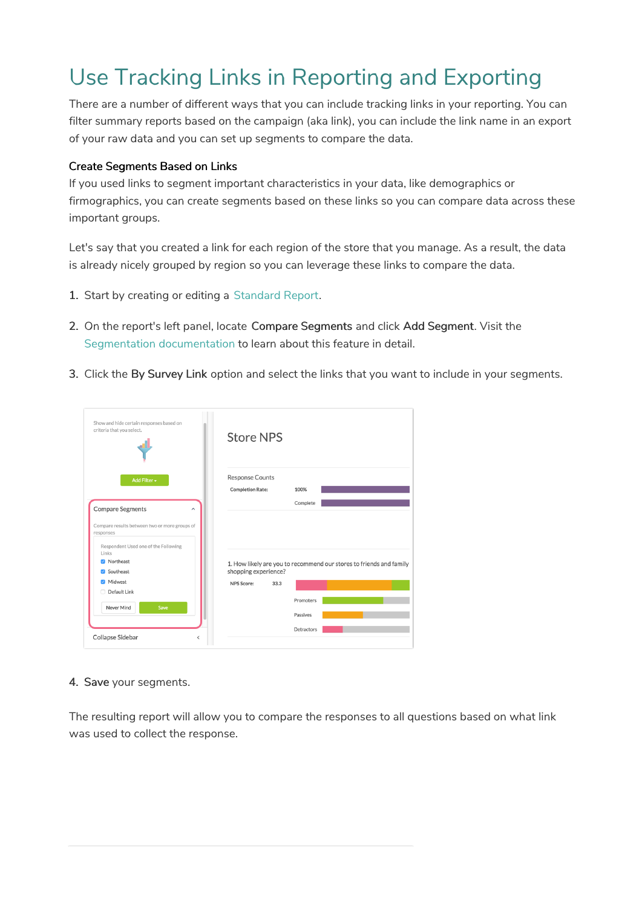# Use Tracking Links in Reporting and Exporting

There are a number of different ways that you can include tracking links in your reporting. You can filter summary reports based on the campaign (aka link), you can include the link name in an export of your raw data and you can set up segments to compare the data.

### Create Segments Based on Links

If you used links to segment important characteristics in your data, like demographics or firmographics, you can create segments based on these links so you can compare data across these important groups.

Let's say that you created a link for each region of the store that you manage. As a result, the data is already nicely grouped by region so you can leverage these links to compare the data.

- 1. Start by creating or editing a Standard Report.
- 2. On the report's left panel, locate Compare Segments and click Add Segment. Visit the Segmentation documentation to learn about this feature in detail.
- 3. Click the By Survey Link option and select the links that you want to include in your segments.

| Show and hide certain responses based on<br>criteria that you select.                                                                                     | <b>Store NPS</b>                                                                                                         |
|-----------------------------------------------------------------------------------------------------------------------------------------------------------|--------------------------------------------------------------------------------------------------------------------------|
| Add Filter -<br><b>Compare Segments</b><br>$\widehat{\phantom{a}}$                                                                                        | <b>Response Counts</b><br><b>Completion Rate:</b><br>100%<br>Complete                                                    |
| Compare results between two or more groups of<br>responses<br>Respondent Used one of the Following<br>Links<br><b>2</b> Northeast<br>Southeast<br>Midwest | 1. How likely are you to recommend our stores to friends and family<br>shopping experience?<br>33.3<br><b>NPS Score:</b> |
| Default Link<br>Never Mind<br>Save<br>Collapse Sidebar<br>$\overline{\phantom{a}}$                                                                        | Promoters<br>Passives<br>Detractors                                                                                      |

4. Save your segments.

The resulting report will allow you to compare the responses to all questions based on what link was used to collect the response.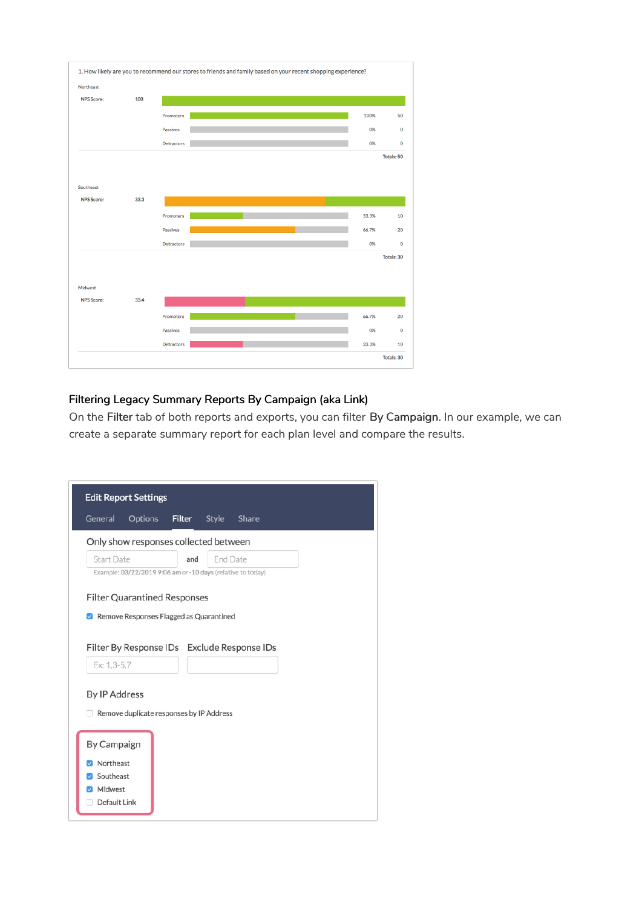

### Filtering Legacy Summary Reports By Campaign (aka Link)

On the Filter tab of both reports and exports, you can filter By Campaign. In our example, we can create a separate summary report for each plan level and compare the results.

| General                | Options                                                                        | Filter | Style    | Share |  |
|------------------------|--------------------------------------------------------------------------------|--------|----------|-------|--|
|                        | Only show responses collected between                                          |        |          |       |  |
| <b>Start Date</b>      |                                                                                | and    | End Date |       |  |
|                        | Example: 03/22/2019 9:06 am or -10 days (relative to today)                    |        |          |       |  |
|                        | <b>Filter Quarantined Responses</b><br>Remove Responses Flagged as Quarantined |        |          |       |  |
|                        | Filter By Response IDs Exclude Response IDs                                    |        |          |       |  |
| Ex: 1,3-5,7            |                                                                                |        |          |       |  |
|                        |                                                                                |        |          |       |  |
| <b>By IP Address</b>   | Remove duplicate responses by IP Address                                       |        |          |       |  |
| By Campaign            |                                                                                |        |          |       |  |
| Northeast<br>Southeast |                                                                                |        |          |       |  |
| Midwest                |                                                                                |        |          |       |  |